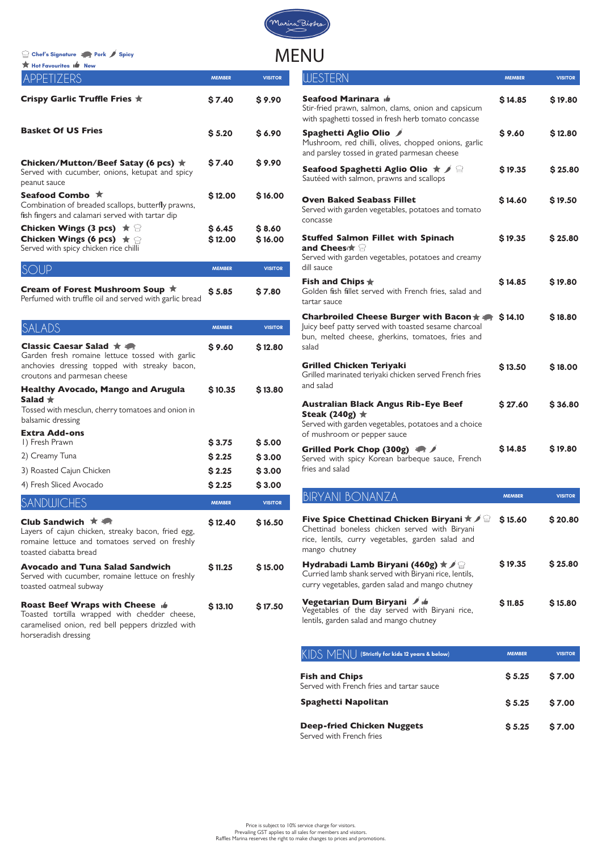| <b>K</b> Hot Favourites I <sup>6</sup> New                                                                                         |                    |                   |
|------------------------------------------------------------------------------------------------------------------------------------|--------------------|-------------------|
| APPETIZERS                                                                                                                         | <b>MEMBER</b>      | <b>VISITOR</b>    |
| Crispy Garlic Truffle Fries $\star$                                                                                                | \$7.40             | \$9.90            |
| <b>Basket Of US Fries</b>                                                                                                          | \$3.20             | \$6.90            |
| Chicken/Mutton/Beef Satay (6 pcs) $\star$<br>Served with cucumber, onions, ketupat and spicy<br>peanut sauce                       | \$7.40             | \$9.90            |
| Seafood Combo ★<br>Combination of breaded scallops, butterfly prawns,<br>fish fingers and calamari served with tartar dip          | \$12.00            | \$16.00           |
| <b>Chicken Wings (3 pcs)</b> $\star \cong$<br><b>Chicken Wings (6 pcs)</b> $\star$ $\cap$<br>Served with spicy chicken rice chilli | \$ 6.45<br>\$12.00 | \$8.60<br>\$16.00 |
|                                                                                                                                    | <b>MEMBER</b>      | <b>VISITOR</b>    |
| Cream of Forest Mushroom Soup ★<br>Perfumed with truffle oil and served with garlic bread                                          | \$5.85             | \$7.80            |

| SALADS                                                                                                                                                            | <b>MEMBER</b>              | <b>VISITOR</b>             |
|-------------------------------------------------------------------------------------------------------------------------------------------------------------------|----------------------------|----------------------------|
| Classic Caesar Salad ★ ●<br>Garden fresh romaine lettuce tossed with garlic<br>anchovies dressing topped with streaky bacon,<br>croutons and parmesan cheese      | \$9.60                     | \$12.80                    |
| <b>Healthy Avocado, Mango and Arugula</b><br>Salad $\bigstar$<br>Tossed with mesclun, cherry tomatoes and onion in<br>balsamic dressing                           | \$10.35                    | \$13.80                    |
| <b>Extra Add-ons</b><br>I) Fresh Prawn<br>2) Creamy Tuna<br>3) Roasted Cajun Chicken                                                                              | \$3.75<br>\$2.25<br>\$2.25 | \$3.00<br>\$3.00<br>\$3.00 |
| 4) Fresh Sliced Avocado                                                                                                                                           | \$2.25                     | \$3.00                     |
| <b>SANDWICHES</b>                                                                                                                                                 | <b>MEMBER</b>              | <b>VISITOR</b>             |
| Club Sandwich $\star$<br>Layers of cajun chicken, streaky bacon, fried egg,<br>romaine lettuce and tomatoes served on freshly<br>toasted ciabatta bread           | \$12.40                    | \$16.50                    |
| <b>Avocado and Tuna Salad Sandwich</b><br>Served with cucumber, romaine lettuce on freshly<br>toasted oatmeal subway                                              | \$11.25                    | \$15.00                    |
| <b>Roast Beef Wraps with Cheese</b><br>Toasted tortilla wrapped with chedder cheese,<br>caramelised onion, red bell peppers drizzled with<br>horseradish dressing | \$13.10                    | <b>S17.50</b>              |

| WESTERN                                                                                                                                                                                                                 | <b>MEMBER</b> | <b>VISITOR</b> |
|-------------------------------------------------------------------------------------------------------------------------------------------------------------------------------------------------------------------------|---------------|----------------|
| Seafood Marinara d<br>Stir-fried prawn, salmon, clams, onion and capsicum<br>with spaghetti tossed in fresh herb tomato concasse                                                                                        | \$14.85       | \$19.80        |
| Spaghetti Aglio Olio /<br>Mushroom, red chilli, olives, chopped onions, garlic<br>and parsley tossed in grated parmesan cheese                                                                                          | \$9.60        | \$12.80        |
| Seafood Spaghetti Aglio Olio $\star$ / $\circledcirc$<br>Sautéed with salmon, prawns and scallops                                                                                                                       | \$19.35       | \$25.80        |
| <b>Oven Baked Seabass Fillet</b><br>Served with garden vegetables, potatoes and tomato<br>concasse                                                                                                                      | \$14.60       | \$19.50        |
| <b>Stuffed Salmon Fillet with Spinach</b><br>and Chees $\bigstar$<br>Served with garden vegetables, potatoes and creamy<br>dill sauce                                                                                   | \$19.35       | \$25.80        |
| Fish and Chips $\bigstar$<br>Golden fish fillet served with French fries, salad and<br>tartar sauce                                                                                                                     | \$14.85       | \$19.80        |
| Charbroiled Cheese Burger with Bacon ★ ★<br>Juicy beef patty served with toasted sesame charcoal<br>bun, melted cheese, gherkins, tomatoes, fries and<br>salad                                                          | \$14.10       | \$18.80        |
| <b>Grilled Chicken Teriyaki</b><br>Grilled marinated teriyaki chicken served French fries<br>and salad                                                                                                                  | \$13.50       | <b>\$18.00</b> |
| <b>Australian Black Angus Rib-Eye Beef</b><br>Steak (240g) $\star$<br>Served with garden vegetables, potatoes and a choice<br>of mushroom or pepper sauce                                                               | \$27.60       | \$36.80        |
| Grilled Pork Chop (300g)<br>Served with spicy Korean barbeque sauce, French<br>fries and salad                                                                                                                          | \$14.85       | \$19.80        |
| <b>BIRYANI BONANZA</b>                                                                                                                                                                                                  | <b>MEMBER</b> | <b>VISITOR</b> |
| Five Spice Chettinad Chicken Biryani $\star \nearrow \stackrel{\scriptscriptstyle\triangle}{=}$<br>Chettinad boneless chicken served with Biryani<br>rice, lentils, curry vegetables, garden salad and<br>mango chutney | \$15.60       | \$20.80        |
| Hydrabadi Lamb Biryani (460g) $\star$ / $\circledcirc$<br>Curried lamb shank served with Biryani rice, lentils,<br>curry vegetables, garden salad and mango chutney                                                     | \$19.35       | <b>S 25.80</b> |

Price is subject to 10% service charge for visitors. Prevailing GST applies to all sales for members and visitors. Raffles Marina reserves the right to make changes to prices and promotions.

**Chef's Signature Pork Spicy**

 **\$ 11.85 \$ 15.80** 



Vegetables of the day served with Biryani rice,

| $\mathsf{K}\mathsf{D}\mathsf{S}\;\mathsf{M}\mathsf{F}\mathsf{N}\mathsf{U}$ $\mathsf{I}\;$ (Strictly for kids 12 years & below) | <b>MEMBER</b> | <b>VISITOR</b> |  |
|--------------------------------------------------------------------------------------------------------------------------------|---------------|----------------|--|
| <b>Fish and Chips</b><br>Served with French fries and tartar sauce                                                             | \$5.25        | \$7.00         |  |
| <b>Spaghetti Napolitan</b>                                                                                                     | \$5.25        | \$7.00         |  |
| <b>Deep-fried Chicken Nuggets</b><br>Served with French fries                                                                  | \$5.25        | \$7.00         |  |

lentils, garden salad and mango chutney

Vegetarian Dum Biryani